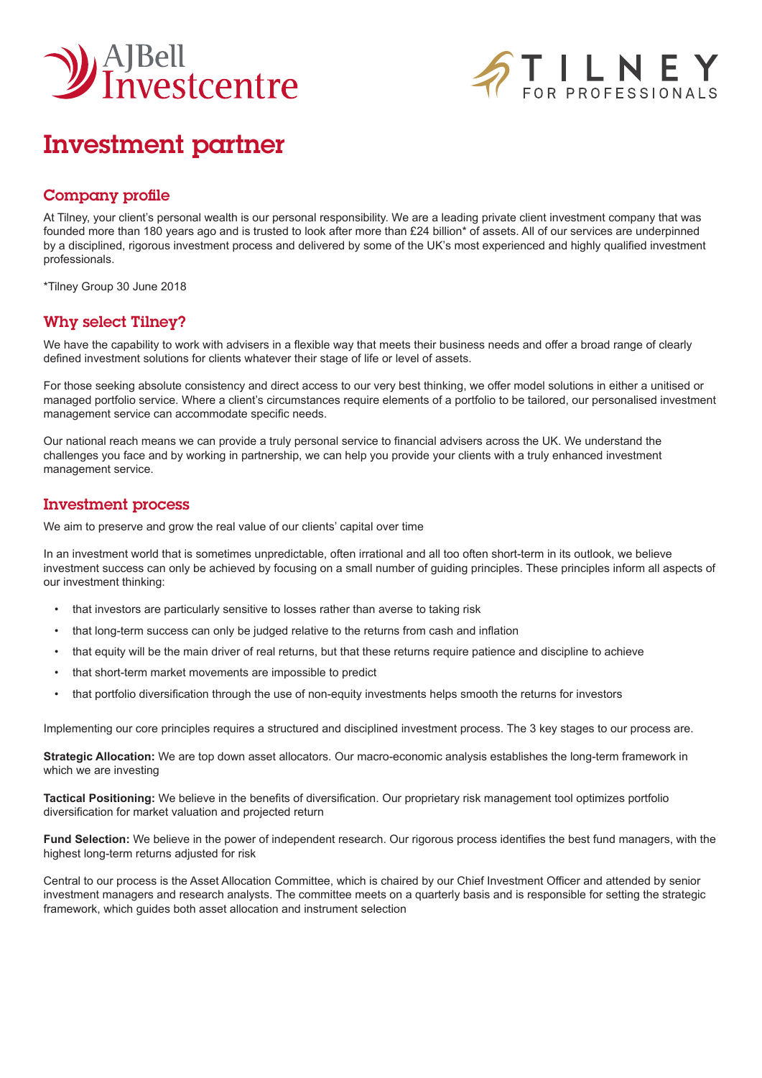



# Investment partner

### Company profile

At Tilney, your client's personal wealth is our personal responsibility. We are a leading private client investment company that was founded more than 180 years ago and is trusted to look after more than £24 billion\* of assets. All of our services are underpinned by a disciplined, rigorous investment process and delivered by some of the UK's most experienced and highly qualified investment professionals.

\*Tilney Group 30 June 2018

## Why select Tilney?

We have the capability to work with advisers in a flexible way that meets their business needs and offer a broad range of clearly defined investment solutions for clients whatever their stage of life or level of assets.

For those seeking absolute consistency and direct access to our very best thinking, we offer model solutions in either a unitised or managed portfolio service. Where a client's circumstances require elements of a portfolio to be tailored, our personalised investment management service can accommodate specific needs.

Our national reach means we can provide a truly personal service to financial advisers across the UK. We understand the challenges you face and by working in partnership, we can help you provide your clients with a truly enhanced investment management service.

#### Investment process

We aim to preserve and grow the real value of our clients' capital over time

In an investment world that is sometimes unpredictable, often irrational and all too often short-term in its outlook, we believe investment success can only be achieved by focusing on a small number of guiding principles. These principles inform all aspects of our investment thinking:

- that investors are particularly sensitive to losses rather than averse to taking risk
- that long-term success can only be judged relative to the returns from cash and inflation
- that equity will be the main driver of real returns, but that these returns require patience and discipline to achieve
- that short-term market movements are impossible to predict
- that portfolio diversification through the use of non-equity investments helps smooth the returns for investors

Implementing our core principles requires a structured and disciplined investment process. The 3 key stages to our process are.

**Strategic Allocation:** We are top down asset allocators. Our macro-economic analysis establishes the long-term framework in which we are investing

**Tactical Positioning:** We believe in the benefits of diversification. Our proprietary risk management tool optimizes portfolio diversification for market valuation and projected return

**Fund Selection:** We believe in the power of independent research. Our rigorous process identifies the best fund managers, with the highest long-term returns adjusted for risk

Central to our process is the Asset Allocation Committee, which is chaired by our Chief Investment Officer and attended by senior investment managers and research analysts. The committee meets on a quarterly basis and is responsible for setting the strategic framework, which guides both asset allocation and instrument selection